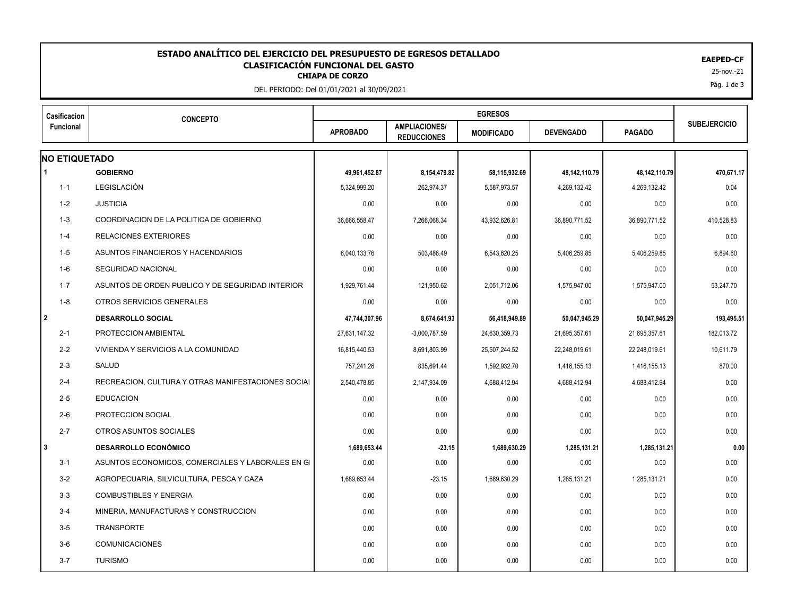## **CLASIFICACIÓN FUNCIONAL DEL GASTO<br>CHIAPA DE CORZO ESTADO ANALÍTICO DEL EJERCICIO DEL PRESUPUESTO DE EGRESOS DETALLADO EAEPED-CF CLASIFICACIÓN FUNCIONAL DEL GASTO**

DEL PERIODO: Del 01/01/2021 al 30/09/2021

| Casificacion<br><b>Funcional</b> | <b>CONCEPTO</b>                                    |                 |                                            |                   |                  |               |                     |
|----------------------------------|----------------------------------------------------|-----------------|--------------------------------------------|-------------------|------------------|---------------|---------------------|
|                                  |                                                    | <b>APROBADO</b> | <b>AMPLIACIONES/</b><br><b>REDUCCIONES</b> | <b>MODIFICADO</b> | <b>DEVENGADO</b> | <b>PAGADO</b> | <b>SUBEJERCICIO</b> |
| <b>NO ETIQUETADO</b>             |                                                    |                 |                                            |                   |                  |               |                     |
| 1                                | <b>GOBIERNO</b>                                    | 49,961,452.87   | 8,154,479.82                               | 58,115,932.69     | 48,142,110.79    | 48,142,110.79 | 470,671.17          |
| $1 - 1$                          | <b>LEGISLACIÓN</b>                                 | 5,324,999.20    | 262,974.37                                 | 5,587,973.57      | 4,269,132.42     | 4,269,132.42  | 0.04                |
| $1 - 2$                          | <b>JUSTICIA</b>                                    | 0.00            | 0.00                                       | 0.00              | 0.00             | 0.00          | 0.00                |
| $1 - 3$                          | COORDINACION DE LA POLITICA DE GOBIERNO            | 36,666,558.47   | 7,266,068.34                               | 43,932,626.81     | 36,890,771.52    | 36,890,771.52 | 410,528.83          |
| $1 - 4$                          | <b>RELACIONES EXTERIORES</b>                       | 0.00            | 0.00                                       | 0.00              | 0.00             | 0.00          | 0.00                |
| 1-5                              | ASUNTOS FINANCIEROS Y HACENDARIOS                  | 6,040,133.76    | 503,486.49                                 | 6,543,620.25      | 5,406,259.85     | 5,406,259.85  | 6,894.60            |
| $1-6$                            | <b>SEGURIDAD NACIONAL</b>                          | 0.00            | 0.00                                       | 0.00              | 0.00             | 0.00          | 0.00                |
| $1 - 7$                          | ASUNTOS DE ORDEN PUBLICO Y DE SEGURIDAD INTERIOR   | 1,929,761.44    | 121,950.62                                 | 2,051,712.06      | 1,575,947.00     | 1,575,947.00  | 53,247.70           |
| 1-8                              | OTROS SERVICIOS GENERALES                          | 0.00            | 0.00                                       | 0.00              | 0.00             | 0.00          | 0.00                |
| $\overline{2}$                   | <b>DESARROLLO SOCIAL</b>                           | 47,744,307.96   | 8,674,641.93                               | 56,418,949.89     | 50,047,945.29    | 50,047,945.29 | 193,495.51          |
| $2 - 1$                          | PROTECCION AMBIENTAL                               | 27,631,147.32   | $-3,000,787.59$                            | 24,630,359.73     | 21,695,357.61    | 21,695,357.61 | 182,013.72          |
| $2 - 2$                          | VIVIENDA Y SERVICIOS A LA COMUNIDAD                | 16,815,440.53   | 8,691,803.99                               | 25,507,244.52     | 22,248,019.61    | 22,248,019.61 | 10,611.79           |
| $2 - 3$                          | SALUD                                              | 757,241.26      | 835,691.44                                 | 1,592,932.70      | 1,416,155.13     | 1,416,155.13  | 870.00              |
| $2 - 4$                          | RECREACION, CULTURA Y OTRAS MANIFESTACIONES SOCIAL | 2,540,478.85    | 2,147,934.09                               | 4,688,412.94      | 4,688,412.94     | 4,688,412.94  | 0.00                |
| $2 - 5$                          | <b>EDUCACION</b>                                   | 0.00            | 0.00                                       | 0.00              | 0.00             | 0.00          | 0.00                |
| $2-6$                            | PROTECCION SOCIAL                                  | 0.00            | 0.00                                       | 0.00              | 0.00             | 0.00          | 0.00                |
| $2 - 7$                          | OTROS ASUNTOS SOCIALES                             | 0.00            | 0.00                                       | 0.00              | 0.00             | 0.00          | 0.00                |
| 3                                | <b>DESARROLLO ECONÓMICO</b>                        | 1,689,653.44    | $-23.15$                                   | 1,689,630.29      | 1,285,131.21     | 1,285,131.21  | 0.00                |
| $3 - 1$                          | ASUNTOS ECONOMICOS, COMERCIALES Y LABORALES EN GI  | 0.00            | 0.00                                       | 0.00              | 0.00             | 0.00          | 0.00                |
| $3 - 2$                          | AGROPECUARIA, SILVICULTURA, PESCA Y CAZA           | 1,689,653.44    | $-23.15$                                   | 1,689,630.29      | 1,285,131.21     | 1,285,131.21  | 0.00                |
| $3 - 3$                          | <b>COMBUSTIBLES Y ENERGIA</b>                      | 0.00            | 0.00                                       | 0.00              | 0.00             | 0.00          | 0.00                |
| $3 - 4$                          | MINERIA, MANUFACTURAS Y CONSTRUCCION               | 0.00            | 0.00                                       | 0.00              | 0.00             | 0.00          | 0.00                |
| $3 - 5$                          | <b>TRANSPORTE</b>                                  | 0.00            | 0.00                                       | 0.00              | 0.00             | 0.00          | 0.00                |
| $3-6$                            | COMUNICACIONES                                     | 0.00            | 0.00                                       | 0.00              | 0.00             | 0.00          | 0.00                |
| $3 - 7$                          | <b>TURISMO</b>                                     | 0.00            | 0.00                                       | 0.00              | 0.00             | 0.00          | 0.00                |

Pág. 1 de 3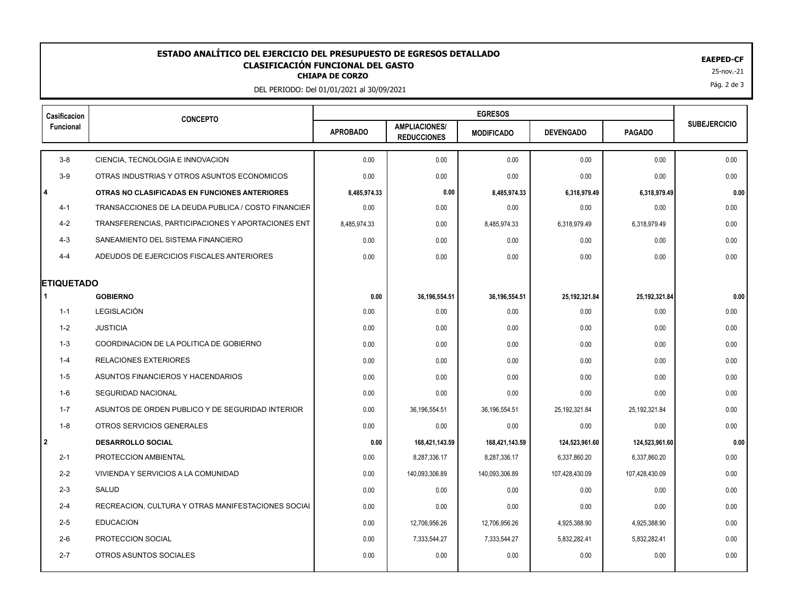## **CLASIFICACIÓN FUNCIONAL DEL GASTO<br>CHIAPA DE CORZO ESTADO ANALÍTICO DEL EJERCICIO DEL PRESUPUESTO DE EGRESOS DETALLADO entre el experimento de la contra el establecido el experimento de la contra el experimento de la contra el establecido el experimento de la contra el**

DEL PERIODO: Del 01/01/2021 al 30/09/2021

| Casificacion      | <b>CONCEPTO</b>                                     |                 |                                            |                   |                  |                |                     |
|-------------------|-----------------------------------------------------|-----------------|--------------------------------------------|-------------------|------------------|----------------|---------------------|
| Funcional         |                                                     | <b>APROBADO</b> | <b>AMPLIACIONES/</b><br><b>REDUCCIONES</b> | <b>MODIFICADO</b> | <b>DEVENGADO</b> | <b>PAGADO</b>  | <b>SUBEJERCICIO</b> |
| $3-8$             | CIENCIA, TECNOLOGIA E INNOVACION                    | 0.00            | 0.00                                       | 0.00              | 0.00             | 0.00           | 0.00                |
| $3-9$             | OTRAS INDUSTRIAS Y OTROS ASUNTOS ECONOMICOS         | 0.00            | 0.00                                       | 0.00              | 0.00             | 0.00           | 0.00                |
| $\overline{4}$    | OTRAS NO CLASIFICADAS EN FUNCIONES ANTERIORES       | 8,485,974.33    | 0.00                                       | 8,485,974.33      | 6,318,979.49     | 6,318,979.49   | 0.00                |
| $4 - 1$           | TRANSACCIONES DE LA DEUDA PUBLICA / COSTO FINANCIER | 0.00            | 0.00                                       | 0.00              | 0.00             | 0.00           | 0.00                |
| $4 - 2$           | TRANSFERENCIAS, PARTICIPACIONES Y APORTACIONES ENT  | 8,485,974.33    | 0.00                                       | 8,485,974.33      | 6,318,979.49     | 6,318,979.49   | 0.00                |
| $4 - 3$           | SANEAMIENTO DEL SISTEMA FINANCIERO                  | 0.00            | 0.00                                       | 0.00              | 0.00             | 0.00           | 0.00                |
| $4 - 4$           | ADEUDOS DE EJERCICIOS FISCALES ANTERIORES           | 0.00            | 0.00                                       | 0.00              | 0.00             | 0.00           | 0.00                |
| <b>ETIQUETADO</b> |                                                     |                 |                                            |                   |                  |                |                     |
|                   | <b>GOBIERNO</b>                                     | 0.00            | 36, 196, 554.51                            | 36,196,554.51     | 25,192,321.84    | 25,192,321.84  | 0.00                |
| $1 - 1$           | LEGISLACIÓN                                         | 0.00            | 0.00                                       | 0.00              | 0.00             | 0.00           | 0.00                |
| $1 - 2$           | <b>JUSTICIA</b>                                     | 0.00            | 0.00                                       | 0.00              | 0.00             | 0.00           | 0.00                |
| $1 - 3$           | COORDINACION DE LA POLITICA DE GOBIERNO             | 0.00            | 0.00                                       | 0.00              | 0.00             | 0.00           | 0.00                |
| $1 - 4$           | <b>RELACIONES EXTERIORES</b>                        | 0.00            | 0.00                                       | 0.00              | 0.00             | 0.00           | 0.00                |
| $1 - 5$           | ASUNTOS FINANCIEROS Y HACENDARIOS                   | 0.00            | 0.00                                       | 0.00              | 0.00             | 0.00           | 0.00                |
| $1-6$             | <b>SEGURIDAD NACIONAL</b>                           | 0.00            | 0.00                                       | 0.00              | 0.00             | 0.00           | 0.00                |
| $1 - 7$           | ASUNTOS DE ORDEN PUBLICO Y DE SEGURIDAD INTERIOR    | 0.00            | 36, 196, 554.51                            | 36,196,554.51     | 25, 192, 321.84  | 25,192,321.84  | 0.00                |
| $1 - 8$           | OTROS SERVICIOS GENERALES                           | 0.00            | 0.00                                       | 0.00              | 0.00             | 0.00           | 0.00                |
| l 2               | <b>DESARROLLO SOCIAL</b>                            | 0.00            | 168,421,143.59                             | 168,421,143.59    | 124,523,961.60   | 124,523,961.60 | 0.00                |
| $2 - 1$           | PROTECCION AMBIENTAL                                | 0.00            | 8,287,336.17                               | 8,287,336.17      | 6,337,860.20     | 6,337,860.20   | 0.00                |
| $2 - 2$           | VIVIENDA Y SERVICIOS A LA COMUNIDAD                 | 0.00            | 140,093,306.89                             | 140,093,306.89    | 107,428,430.09   | 107,428,430.09 | 0.00                |
| $2 - 3$           | SALUD                                               | 0.00            | 0.00                                       | 0.00              | 0.00             | 0.00           | 0.00                |
| $2 - 4$           | RECREACION, CULTURA Y OTRAS MANIFESTACIONES SOCIAL  | 0.00            | 0.00                                       | 0.00              | 0.00             | 0.00           | 0.00                |
| $2 - 5$           | <b>EDUCACION</b>                                    | 0.00            | 12,706,956.26                              | 12,706,956.26     | 4,925,388.90     | 4,925,388.90   | 0.00                |
| $2-6$             | PROTECCION SOCIAL                                   | 0.00            | 7,333,544.27                               | 7,333,544.27      | 5,832,282.41     | 5,832,282.41   | 0.00                |
| $2 - 7$           | OTROS ASUNTOS SOCIALES                              | 0.00            | 0.00                                       | 0.00              | 0.00             | 0.00           | 0.00                |
|                   |                                                     |                 |                                            |                   |                  |                |                     |

Pág. 2 de 3